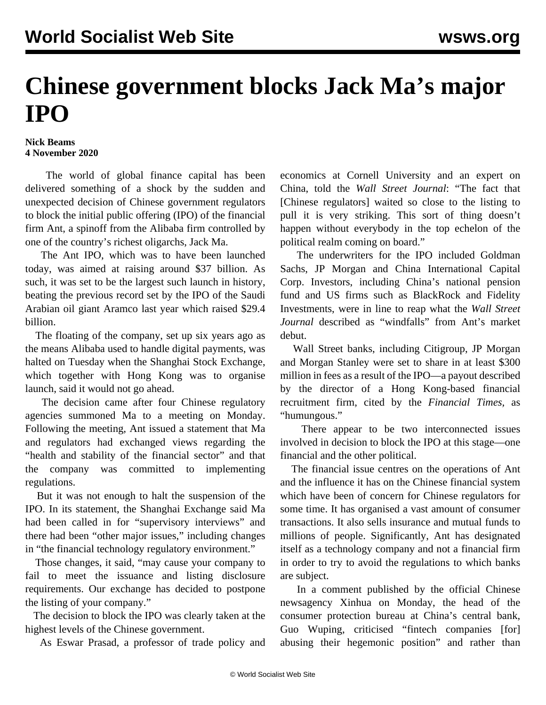## **Chinese government blocks Jack Ma's major IPO**

## **Nick Beams 4 November 2020**

 The world of global finance capital has been delivered something of a shock by the sudden and unexpected decision of Chinese government regulators to block the initial public offering (IPO) of the financial firm Ant, a spinoff from the Alibaba firm controlled by one of the country's richest oligarchs, Jack Ma.

 The Ant IPO, which was to have been launched today, was aimed at raising around \$37 billion. As such, it was set to be the largest such launch in history, beating the previous record set by the IPO of the Saudi Arabian oil giant Aramco last year which raised \$29.4 billion.

 The floating of the company, set up six years ago as the means Alibaba used to handle digital payments, was halted on Tuesday when the Shanghai Stock Exchange, which together with Hong Kong was to organise launch, said it would not go ahead.

 The decision came after four Chinese regulatory agencies summoned Ma to a meeting on Monday. Following the meeting, Ant issued a statement that Ma and regulators had exchanged views regarding the "health and stability of the financial sector" and that the company was committed to implementing regulations.

 But it was not enough to halt the suspension of the IPO. In its statement, the Shanghai Exchange said Ma had been called in for "supervisory interviews" and there had been "other major issues," including changes in "the financial technology regulatory environment."

 Those changes, it said, "may cause your company to fail to meet the issuance and listing disclosure requirements. Our exchange has decided to postpone the listing of your company."

 The decision to block the IPO was clearly taken at the highest levels of the Chinese government.

As Eswar Prasad, a professor of trade policy and

economics at Cornell University and an expert on China, told the *Wall Street Journal*: "The fact that [Chinese regulators] waited so close to the listing to pull it is very striking. This sort of thing doesn't happen without everybody in the top echelon of the political realm coming on board."

 The underwriters for the IPO included Goldman Sachs, JP Morgan and China International Capital Corp. Investors, including China's national pension fund and US firms such as BlackRock and Fidelity Investments, were in line to reap what the *Wall Street Journal* described as "windfalls" from Ant's market debut.

 Wall Street banks, including Citigroup, JP Morgan and Morgan Stanley were set to share in at least \$300 million in fees as a result of the IPO—a payout described by the director of a Hong Kong-based financial recruitment firm, cited by the *Financial Times,* as "humungous."

 There appear to be two interconnected issues involved in decision to block the IPO at this stage—one financial and the other political.

 The financial issue centres on the operations of Ant and the influence it has on the Chinese financial system which have been of concern for Chinese regulators for some time. It has organised a vast amount of consumer transactions. It also sells insurance and mutual funds to millions of people. Significantly, Ant has designated itself as a technology company and not a financial firm in order to try to avoid the regulations to which banks are subject.

 In a comment published by the official Chinese newsagency Xinhua on Monday, the head of the consumer protection bureau at China's central bank, Guo Wuping, criticised "fintech companies [for] abusing their hegemonic position" and rather than